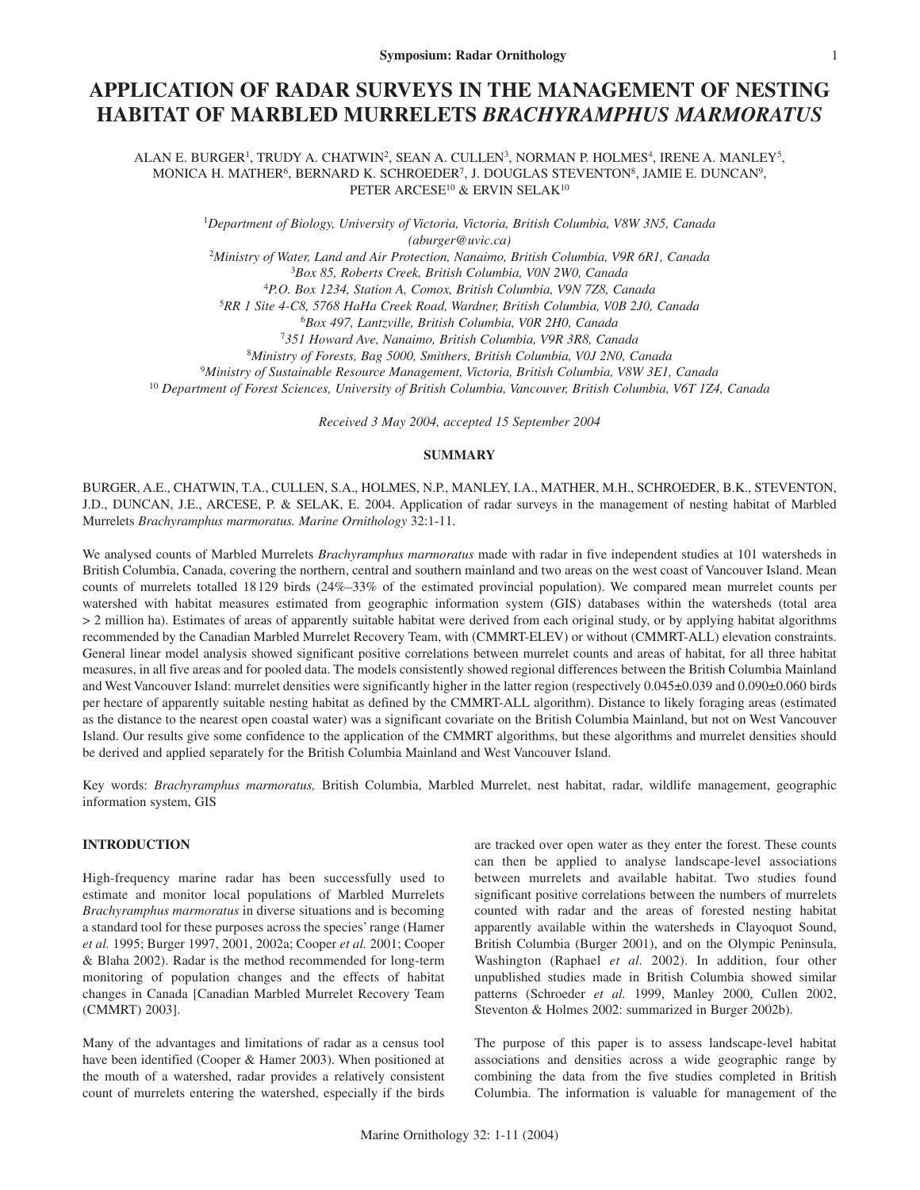# **APPLICATION OF RADAR SURVEYS IN THE MANAGEMENT OF NESTING HABITAT OF MARBLED MURRELETS** *BRACHYRAMPHUS MARMORATUS*

ALAN E. BURGER<sup>1</sup>, TRUDY A. CHATWIN<sup>2</sup>, SEAN A. CULLEN<sup>3</sup>, NORMAN P. HOLMES<sup>4</sup>, IRENE A. MANLEY<sup>5</sup>, MONICA H. MATHER6, BERNARD K. SCHROEDER7, J. DOUGLAS STEVENTON8, JAMIE E. DUNCAN9, PETER ARCESE<sup>10</sup> & ERVIN SELAK<sup>10</sup>

> 1 *Department of Biology, University of Victoria, Victoria, British Columbia, V8W 3N5, Canada (aburger@uvic.ca)*

<sup>2</sup>*Ministry of Water, Land and Air Protection, Nanaimo, British Columbia, V9R 6R1, Canada* <sup>3</sup>*Box 85, Roberts Creek, British Columbia, V0N 2W0, Canada*

<sup>4</sup>*P.O. Box 1234, Station A, Comox, British Columbia, V9N 7Z8, Canada*

<sup>5</sup>*RR 1 Site 4-C8, 5768 HaHa Creek Road, Wardner, British Columbia, V0B 2J0, Canada*

<sup>6</sup>*Box 497, Lantzville, British Columbia, V0R 2H0, Canada*

<sup>7</sup>*351 Howard Ave, Nanaimo, British Columbia, V9R 3R8, Canada*

<sup>8</sup>*Ministry of Forests, Bag 5000, Smithers, British Columbia, V0J 2N0, Canada*

<sup>9</sup>*Ministry of Sustainable Resource Management, Victoria, British Columbia, V8W 3E1, Canada*

<sup>10</sup> *Department of Forest Sciences, University of British Columbia, Vancouver, British Columbia, V6T 1Z4, Canada*

*Received 3 May 2004, accepted 15 September 2004*

## **SUMMARY**

BURGER, A.E., CHATWIN, T.A., CULLEN, S.A., HOLMES, N.P., MANLEY, I.A., MATHER, M.H., SCHROEDER, B.K., STEVENTON, J.D., DUNCAN, J.E., ARCESE, P. & SELAK, E. 2004. Application of radar surveys in the management of nesting habitat of Marbled Murrelets *Brachyramphus marmoratus. Marine Ornithology* 32:1-11.

We analysed counts of Marbled Murrelets *Brachyramphus marmoratus* made with radar in five independent studies at 101 watersheds in British Columbia, Canada, covering the northern, central and southern mainland and two areas on the west coast of Vancouver Island. Mean counts of murrelets totalled 18129 birds (24%–33% of the estimated provincial population). We compared mean murrelet counts per watershed with habitat measures estimated from geographic information system (GIS) databases within the watersheds (total area > 2 million ha). Estimates of areas of apparently suitable habitat were derived from each original study, or by applying habitat algorithms recommended by the Canadian Marbled Murrelet Recovery Team, with (CMMRT-ELEV) or without (CMMRT-ALL) elevation constraints. General linear model analysis showed significant positive correlations between murrelet counts and areas of habitat, for all three habitat measures, in all five areas and for pooled data. The models consistently showed regional differences between the British Columbia Mainland and West Vancouver Island: murrelet densities were significantly higher in the latter region (respectively 0.045±0.039 and 0.090±0.060 birds per hectare of apparently suitable nesting habitat as defined by the CMMRT-ALL algorithm). Distance to likely foraging areas (estimated as the distance to the nearest open coastal water) was a significant covariate on the British Columbia Mainland, but not on West Vancouver Island. Our results give some confidence to the application of the CMMRT algorithms, but these algorithms and murrelet densities should be derived and applied separately for the British Columbia Mainland and West Vancouver Island.

Key words: *Brachyramphus marmoratus,* British Columbia, Marbled Murrelet, nest habitat, radar, wildlife management, geographic information system, GIS

# **INTRODUCTION**

High-frequency marine radar has been successfully used to estimate and monitor local populations of Marbled Murrelets *Brachyramphus marmoratus* in diverse situations and is becoming a standard tool for these purposes across the species' range (Hamer *et al.* 1995; Burger 1997, 2001, 2002a; Cooper *et al.* 2001; Cooper & Blaha 2002). Radar is the method recommended for long-term monitoring of population changes and the effects of habitat changes in Canada [Canadian Marbled Murrelet Recovery Team (CMMRT) 2003].

Many of the advantages and limitations of radar as a census tool have been identified (Cooper & Hamer 2003). When positioned at the mouth of a watershed, radar provides a relatively consistent count of murrelets entering the watershed, especially if the birds are tracked over open water as they enter the forest. These counts can then be applied to analyse landscape-level associations between murrelets and available habitat. Two studies found significant positive correlations between the numbers of murrelets counted with radar and the areas of forested nesting habitat apparently available within the watersheds in Clayoquot Sound, British Columbia (Burger 2001), and on the Olympic Peninsula, Washington (Raphael *et al.* 2002). In addition, four other unpublished studies made in British Columbia showed similar patterns (Schroeder *et al.* 1999, Manley 2000, Cullen 2002, Steventon & Holmes 2002: summarized in Burger 2002b).

The purpose of this paper is to assess landscape-level habitat associations and densities across a wide geographic range by combining the data from the five studies completed in British Columbia. The information is valuable for management of the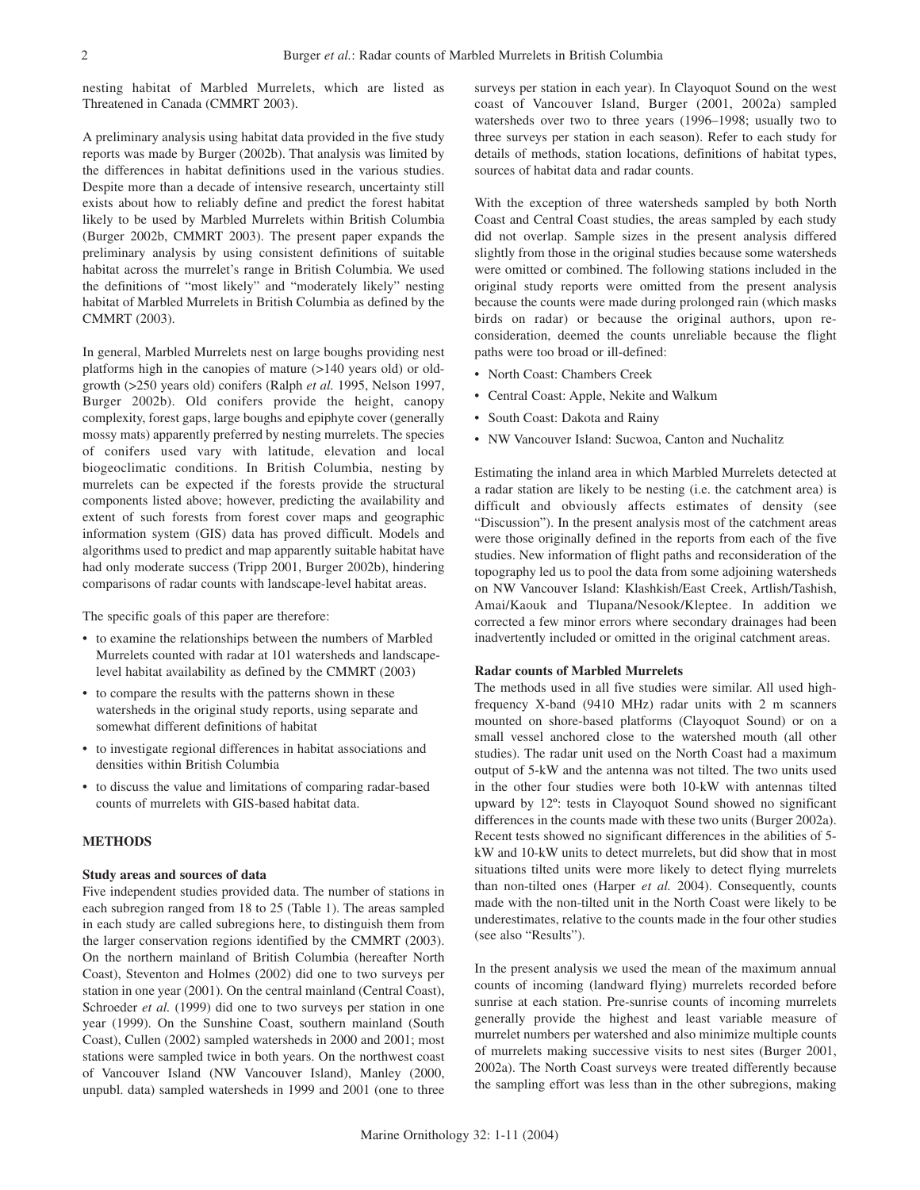nesting habitat of Marbled Murrelets, which are listed as Threatened in Canada (CMMRT 2003).

A preliminary analysis using habitat data provided in the five study reports was made by Burger (2002b). That analysis was limited by the differences in habitat definitions used in the various studies. Despite more than a decade of intensive research, uncertainty still exists about how to reliably define and predict the forest habitat likely to be used by Marbled Murrelets within British Columbia (Burger 2002b, CMMRT 2003). The present paper expands the preliminary analysis by using consistent definitions of suitable habitat across the murrelet's range in British Columbia. We used the definitions of "most likely" and "moderately likely" nesting habitat of Marbled Murrelets in British Columbia as defined by the CMMRT (2003).

In general, Marbled Murrelets nest on large boughs providing nest platforms high in the canopies of mature (>140 years old) or oldgrowth (>250 years old) conifers (Ralph *et al.* 1995, Nelson 1997, Burger 2002b). Old conifers provide the height, canopy complexity, forest gaps, large boughs and epiphyte cover (generally mossy mats) apparently preferred by nesting murrelets. The species of conifers used vary with latitude, elevation and local biogeoclimatic conditions. In British Columbia, nesting by murrelets can be expected if the forests provide the structural components listed above; however, predicting the availability and extent of such forests from forest cover maps and geographic information system (GIS) data has proved difficult. Models and algorithms used to predict and map apparently suitable habitat have had only moderate success (Tripp 2001, Burger 2002b), hindering comparisons of radar counts with landscape-level habitat areas.

The specific goals of this paper are therefore:

- to examine the relationships between the numbers of Marbled Murrelets counted with radar at 101 watersheds and landscapelevel habitat availability as defined by the CMMRT (2003)
- to compare the results with the patterns shown in these watersheds in the original study reports, using separate and somewhat different definitions of habitat
- to investigate regional differences in habitat associations and densities within British Columbia
- to discuss the value and limitations of comparing radar-based counts of murrelets with GIS-based habitat data.

# **METHODS**

## **Study areas and sources of data**

Five independent studies provided data. The number of stations in each subregion ranged from 18 to 25 (Table 1). The areas sampled in each study are called subregions here, to distinguish them from the larger conservation regions identified by the CMMRT (2003). On the northern mainland of British Columbia (hereafter North Coast), Steventon and Holmes (2002) did one to two surveys per station in one year (2001). On the central mainland (Central Coast), Schroeder *et al.* (1999) did one to two surveys per station in one year (1999). On the Sunshine Coast, southern mainland (South Coast), Cullen (2002) sampled watersheds in 2000 and 2001; most stations were sampled twice in both years. On the northwest coast of Vancouver Island (NW Vancouver Island), Manley (2000, unpubl. data) sampled watersheds in 1999 and 2001 (one to three surveys per station in each year). In Clayoquot Sound on the west coast of Vancouver Island, Burger (2001, 2002a) sampled watersheds over two to three years (1996–1998; usually two to three surveys per station in each season). Refer to each study for details of methods, station locations, definitions of habitat types, sources of habitat data and radar counts.

With the exception of three watersheds sampled by both North Coast and Central Coast studies, the areas sampled by each study did not overlap. Sample sizes in the present analysis differed slightly from those in the original studies because some watersheds were omitted or combined. The following stations included in the original study reports were omitted from the present analysis because the counts were made during prolonged rain (which masks birds on radar) or because the original authors, upon reconsideration, deemed the counts unreliable because the flight paths were too broad or ill-defined:

- North Coast: Chambers Creek
- Central Coast: Apple, Nekite and Walkum
- South Coast: Dakota and Rainy
- NW Vancouver Island: Sucwoa, Canton and Nuchalitz

Estimating the inland area in which Marbled Murrelets detected at a radar station are likely to be nesting (i.e. the catchment area) is difficult and obviously affects estimates of density (see "Discussion"). In the present analysis most of the catchment areas were those originally defined in the reports from each of the five studies. New information of flight paths and reconsideration of the topography led us to pool the data from some adjoining watersheds on NW Vancouver Island: Klashkish/East Creek, Artlish/Tashish, Amai/Kaouk and Tlupana/Nesook/Kleptee. In addition we corrected a few minor errors where secondary drainages had been inadvertently included or omitted in the original catchment areas.

# **Radar counts of Marbled Murrelets**

The methods used in all five studies were similar. All used highfrequency X-band (9410 MHz) radar units with 2 m scanners mounted on shore-based platforms (Clayoquot Sound) or on a small vessel anchored close to the watershed mouth (all other studies). The radar unit used on the North Coast had a maximum output of 5-kW and the antenna was not tilted. The two units used in the other four studies were both 10-kW with antennas tilted upward by 12º: tests in Clayoquot Sound showed no significant differences in the counts made with these two units (Burger 2002a). Recent tests showed no significant differences in the abilities of 5 kW and 10-kW units to detect murrelets, but did show that in most situations tilted units were more likely to detect flying murrelets than non-tilted ones (Harper *et al.* 2004). Consequently, counts made with the non-tilted unit in the North Coast were likely to be underestimates, relative to the counts made in the four other studies (see also "Results").

In the present analysis we used the mean of the maximum annual counts of incoming (landward flying) murrelets recorded before sunrise at each station. Pre-sunrise counts of incoming murrelets generally provide the highest and least variable measure of murrelet numbers per watershed and also minimize multiple counts of murrelets making successive visits to nest sites (Burger 2001, 2002a). The North Coast surveys were treated differently because the sampling effort was less than in the other subregions, making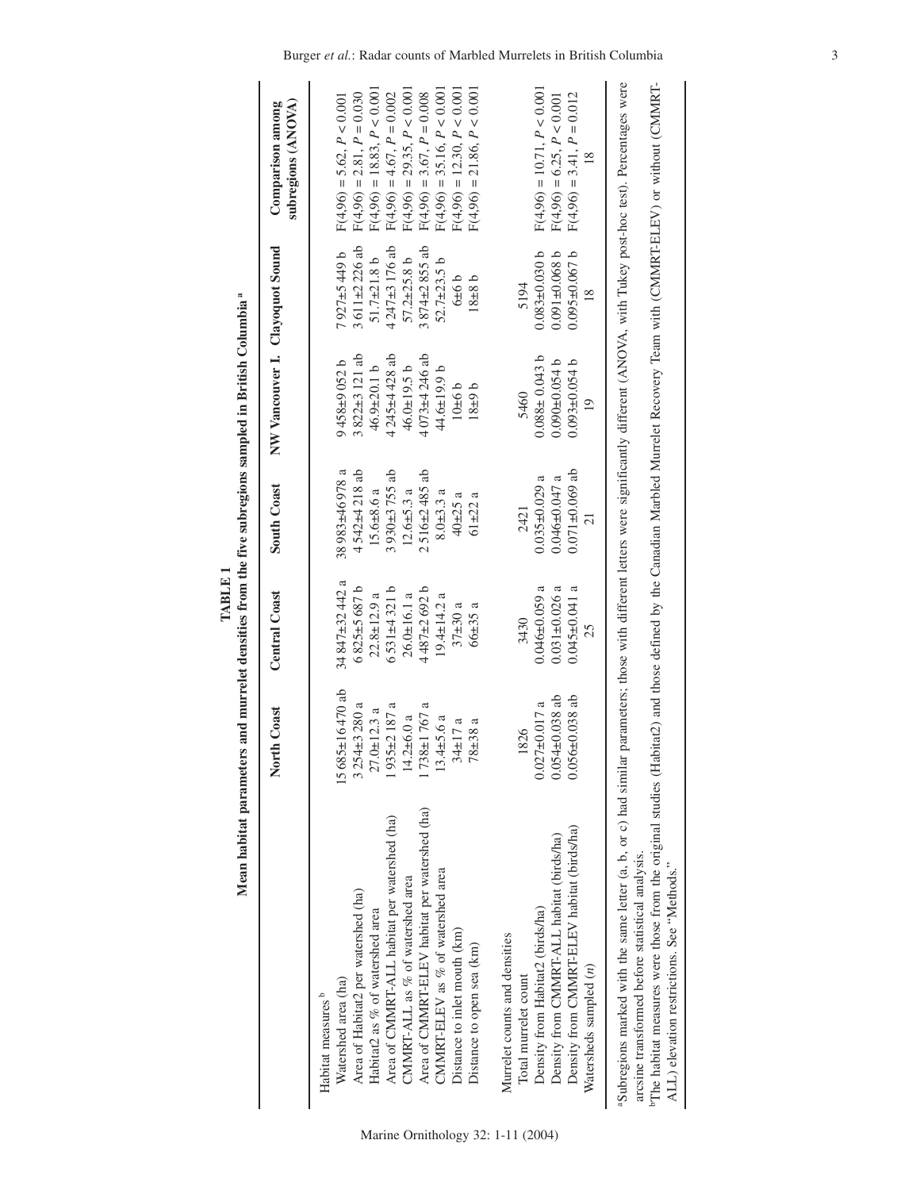| I<br>$\frac{1}{2}$<br>Ï |
|-------------------------|
|-------------------------|

|                                                                                                                                                                                                                                                                                                                                                                       | North Coast                                                                                                                                                       | <b>Central Coast</b>                                                                                                                                            | <b>South Coast</b>                                                                                                                                           | NW Vancouver I. Clayoquot Sound                                                                                                                         |                                                                                                                                                                       | subregions (ANOVA)<br>Comparison among                                                                                                                                                                                                                                                   |
|-----------------------------------------------------------------------------------------------------------------------------------------------------------------------------------------------------------------------------------------------------------------------------------------------------------------------------------------------------------------------|-------------------------------------------------------------------------------------------------------------------------------------------------------------------|-----------------------------------------------------------------------------------------------------------------------------------------------------------------|--------------------------------------------------------------------------------------------------------------------------------------------------------------|---------------------------------------------------------------------------------------------------------------------------------------------------------|-----------------------------------------------------------------------------------------------------------------------------------------------------------------------|------------------------------------------------------------------------------------------------------------------------------------------------------------------------------------------------------------------------------------------------------------------------------------------|
| Area of CMMRT-ELEV habitat per watershed (ha)<br>Area of CMMRT-ALL habitat per watershed (ha)<br>CMMRT-ELEV as % of watershed area<br>CMMRT-ALL as % of watershed area<br>Area of Habitat2 per watershed (ha)<br>Habitat2 as % of watershed area<br>Distance to inlet mouth (km)<br>Distance to open sea (km)<br>Watershed area (ha)<br>Habitat measures <sup>b</sup> | 15685±16470 ab<br>$3254 \pm 3280$ a<br>$1935 \pm 2187$ a<br>1738±1767 a<br>$27.0 + 12.3$ a<br>$14.2 \pm 6.0$ a<br>$13.4 \pm 5.6 a$<br>$34 \pm 17$ a<br>$78 + 38a$ | $34847 + 32442a$<br>$6825+5687b$<br>$6531+4321$ b<br>$4487 + 2692 b$<br>$26.0 \pm 16.1$ a<br>$22.8 \pm 12.9$ a<br>$19.4 \pm 14.2$ a<br>$37 + 30a$<br>$66 + 35a$ | 38983±46978 a<br>4542±4218 ab<br>$3930 + 3755$ ab<br>$2516 \pm 2485$ ab<br>$15.6 \pm 8.6$ a<br>$12.6 \pm 5.3$ a<br>$8.0 + 3.3$ a<br>$40 + 25$ a<br>$61 + 22$ | $3822 \pm 3121$ ab<br>4245±4428 ab<br>$4073 + 4246$ ab<br>$9458 + 9052 b$<br>$46.9 \pm 20.1 b$<br>$46.0 \pm 19.5 b$<br>44.6±19.9 b<br>10±6 b<br>$18+9b$ | $3611 \pm 2226$ ab<br>$4.247\pm3.176$ ab<br>$3874 \pm 2855$ ab<br>$7927 + 5449$ b<br>$51.7 \pm 21.8$ b<br>$57.2 \pm 25.8$ b<br>$52.7 \pm 23.5$ b<br>9979<br>$18 + 81$ | $F(4,96) = 35.16, P < 0.001$<br>$F(4,96) = 12.30, P < 0.001$<br>$F(4,96) = 29.35, P < 0.001$<br>$F(4,96) = 21.86, P < 0.001$<br>$F(4,96) = 18.83, P < 0.001$<br>$F(4,96) = 2.81, P = 0.030$<br>$F(4,96) = 4.67, P = 0.002$<br>$F(4,96) = 3.67, P = 0.008$<br>$F(4,96) = 5.62, P < 0.001$ |
| Density from CMMRT-ELEV habitat (birds/ha)<br>Density from CMMRT-ALL habitat (birds/ha)<br>Density from Habitat2 (birds/ha)<br>Murrelet counts and densities<br>Watersheds sampled (n)<br>Total murrelet count                                                                                                                                                        | $0.054 \pm 0.038$ ab<br>$0.056 \pm 0.038$ ab<br>$0.027 \pm 0.017$ a<br>1826                                                                                       | $0.031 \pm 0.026$ a<br>$0.045 \pm 0.041$ a<br>$0.046 \pm 0.059$<br>3430<br>25                                                                                   | $0.071 \pm 0.069$ ab<br>$0.046 \pm 0.047$ a<br>$0.035 \pm 0.029$<br>2421                                                                                     | $0.088 \pm 0.043$ b<br>$0.090 \pm 0.054$ b<br>$0.093 \pm 0.054$ b<br>5460<br>$\overline{0}$                                                             | $0.083 + 0.030$ b<br>$0.095 \pm 0.067$ b<br>$0.091 \pm 0.068$ b<br>5194                                                                                               | $F(4,96) = 10.71, P < 0.001$<br>$F(4,96) = 3.41, P = 0.012$<br>$F(4,96) = 6.25, P < 0.001$                                                                                                                                                                                               |
| The habitat measures were those from the original studies (Habitat2) and those defined by the Canadian Marbled Murrelet Recovery Team with (CMMRT-ELEV) or without (CMMRT-<br>"Subregions marked with the same letter (a, b, or c) had similar<br>arcsine transformed before statistical analysis.<br>ALL) elevation restrictions. See "Methods."                     |                                                                                                                                                                   |                                                                                                                                                                 |                                                                                                                                                              |                                                                                                                                                         |                                                                                                                                                                       | parameters; those with different letters were significantly different (ANOVA, with Tukey post-hoc test). Percentages were                                                                                                                                                                |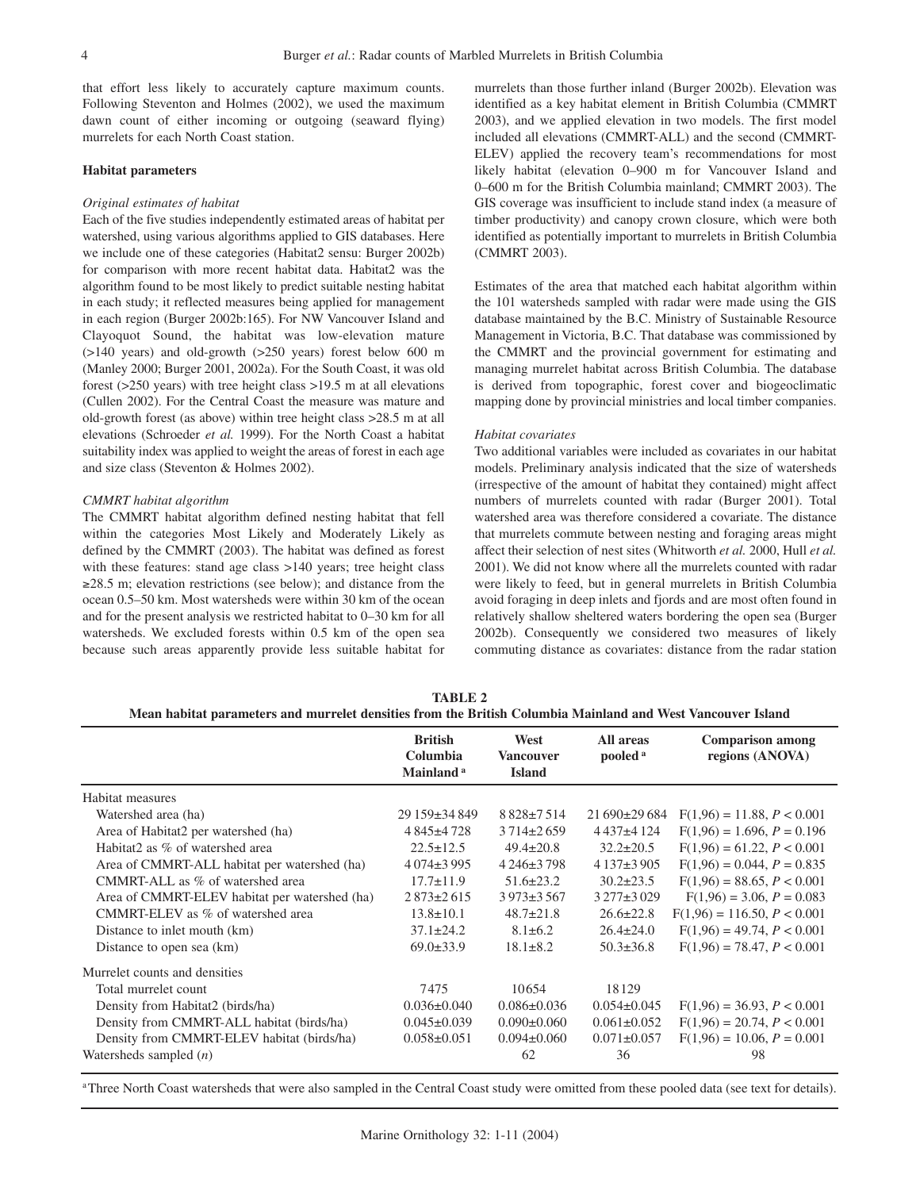that effort less likely to accurately capture maximum counts. Following Steventon and Holmes (2002), we used the maximum dawn count of either incoming or outgoing (seaward flying) murrelets for each North Coast station.

## **Habitat parameters**

#### *Original estimates of habitat*

Each of the five studies independently estimated areas of habitat per watershed, using various algorithms applied to GIS databases. Here we include one of these categories (Habitat2 sensu: Burger 2002b) for comparison with more recent habitat data. Habitat2 was the algorithm found to be most likely to predict suitable nesting habitat in each study; it reflected measures being applied for management in each region (Burger 2002b:165). For NW Vancouver Island and Clayoquot Sound, the habitat was low-elevation mature (>140 years) and old-growth (>250 years) forest below 600 m (Manley 2000; Burger 2001, 2002a). For the South Coast, it was old forest (>250 years) with tree height class >19.5 m at all elevations (Cullen 2002). For the Central Coast the measure was mature and old-growth forest (as above) within tree height class >28.5 m at all elevations (Schroeder *et al.* 1999). For the North Coast a habitat suitability index was applied to weight the areas of forest in each age and size class (Steventon & Holmes 2002).

## *CMMRT habitat algorithm*

The CMMRT habitat algorithm defined nesting habitat that fell within the categories Most Likely and Moderately Likely as defined by the CMMRT (2003). The habitat was defined as forest with these features: stand age class >140 years; tree height class ≥28.5 m; elevation restrictions (see below); and distance from the ocean 0.5–50 km. Most watersheds were within 30 km of the ocean and for the present analysis we restricted habitat to 0–30 km for all watersheds. We excluded forests within 0.5 km of the open sea because such areas apparently provide less suitable habitat for murrelets than those further inland (Burger 2002b). Elevation was identified as a key habitat element in British Columbia (CMMRT 2003), and we applied elevation in two models. The first model included all elevations (CMMRT-ALL) and the second (CMMRT-ELEV) applied the recovery team's recommendations for most likely habitat (elevation 0–900 m for Vancouver Island and 0–600 m for the British Columbia mainland; CMMRT 2003). The GIS coverage was insufficient to include stand index (a measure of timber productivity) and canopy crown closure, which were both identified as potentially important to murrelets in British Columbia (CMMRT 2003).

Estimates of the area that matched each habitat algorithm within the 101 watersheds sampled with radar were made using the GIS database maintained by the B.C. Ministry of Sustainable Resource Management in Victoria, B.C. That database was commissioned by the CMMRT and the provincial government for estimating and managing murrelet habitat across British Columbia. The database is derived from topographic, forest cover and biogeoclimatic mapping done by provincial ministries and local timber companies.

#### *Habitat covariates*

Two additional variables were included as covariates in our habitat models. Preliminary analysis indicated that the size of watersheds (irrespective of the amount of habitat they contained) might affect numbers of murrelets counted with radar (Burger 2001). Total watershed area was therefore considered a covariate. The distance that murrelets commute between nesting and foraging areas might affect their selection of nest sites (Whitworth *et al.* 2000, Hull *et al.* 2001). We did not know where all the murrelets counted with radar were likely to feed, but in general murrelets in British Columbia avoid foraging in deep inlets and fjords and are most often found in relatively shallow sheltered waters bordering the open sea (Burger 2002b). Consequently we considered two measures of likely commuting distance as covariates: distance from the radar station

| TABLE 2                                                                                                     |  |
|-------------------------------------------------------------------------------------------------------------|--|
| Mean habitat parameters and murrelet densities from the British Columbia Mainland and West Vancouver Island |  |

|                                               | <b>British</b><br>Columbia<br>Mainland <sup>a</sup> | West<br><b>Vancouver</b><br><b>Island</b> | All areas<br>pooled <sup>a</sup> | <b>Comparison among</b><br>regions (ANOVA) |
|-----------------------------------------------|-----------------------------------------------------|-------------------------------------------|----------------------------------|--------------------------------------------|
| Habitat measures                              |                                                     |                                           |                                  |                                            |
| Watershed area (ha)                           | 29 159±34 849                                       | $8828 \pm 7514$                           | $21690\pm29684$                  | $F(1,96) = 11.88, P < 0.001$               |
| Area of Habitat2 per watershed (ha)           | 4 845 ± 4 728                                       | $3714 \pm 2659$                           | 4437±4124                        | $F(1,96) = 1.696, P = 0.196$               |
| Habitat2 as % of watershed area               | $22.5 \pm 12.5$                                     | $49.4 \pm 20.8$                           | $32.2 \pm 20.5$                  | $F(1,96) = 61.22, P < 0.001$               |
| Area of CMMRT-ALL habitat per watershed (ha)  | $4074\pm3995$                                       | $4246 \pm 3798$                           | $4137\pm3905$                    | $F(1,96) = 0.044$ , $P = 0.835$            |
| CMMRT-ALL as % of watershed area              | $17.7 \pm 11.9$                                     | $51.6 \pm 23.2$                           | $30.2 \pm 23.5$                  | $F(1,96) = 88.65, P < 0.001$               |
| Area of CMMRT-ELEV habitat per watershed (ha) | $2873 \pm 2615$                                     | $3973 \pm 3567$                           | $3277\pm3029$                    | $F(1,96) = 3.06, P = 0.083$                |
| CMMRT-ELEV as % of watershed area             | $13.8 \pm 10.1$                                     | $48.7 \pm 21.8$                           | $26.6 \pm 22.8$                  | $F(1,96) = 116.50, P < 0.001$              |
| Distance to inlet mouth (km)                  | $37.1 \pm 24.2$                                     | $8.1 \pm 6.2$                             | $26.4 \pm 24.0$                  | $F(1,96) = 49.74, P < 0.001$               |
| Distance to open sea (km)                     | $69.0 \pm 33.9$                                     | $18.1 \pm 8.2$                            | $50.3 \pm 36.8$                  | $F(1,96) = 78.47, P < 0.001$               |
| Murrelet counts and densities                 |                                                     |                                           |                                  |                                            |
| Total murrelet count                          | 7475                                                | 10654                                     | 18129                            |                                            |
| Density from Habitat2 (birds/ha)              | $0.036 \pm 0.040$                                   | $0.086 \pm 0.036$                         | $0.054 \pm 0.045$                | $F(1,96) = 36.93, P < 0.001$               |
| Density from CMMRT-ALL habitat (birds/ha)     | $0.045 \pm 0.039$                                   | $0.090 \pm 0.060$                         | $0.061 \pm 0.052$                | $F(1,96) = 20.74, P < 0.001$               |
| Density from CMMRT-ELEV habitat (birds/ha)    | $0.058 \pm 0.051$                                   | $0.094 \pm 0.060$                         | $0.071 \pm 0.057$                | $F(1,96) = 10.06, P = 0.001$               |
| Watersheds sampled $(n)$                      |                                                     | 62                                        | 36                               | 98                                         |

aThree North Coast watersheds that were also sampled in the Central Coast study were omitted from these pooled data (see text for details).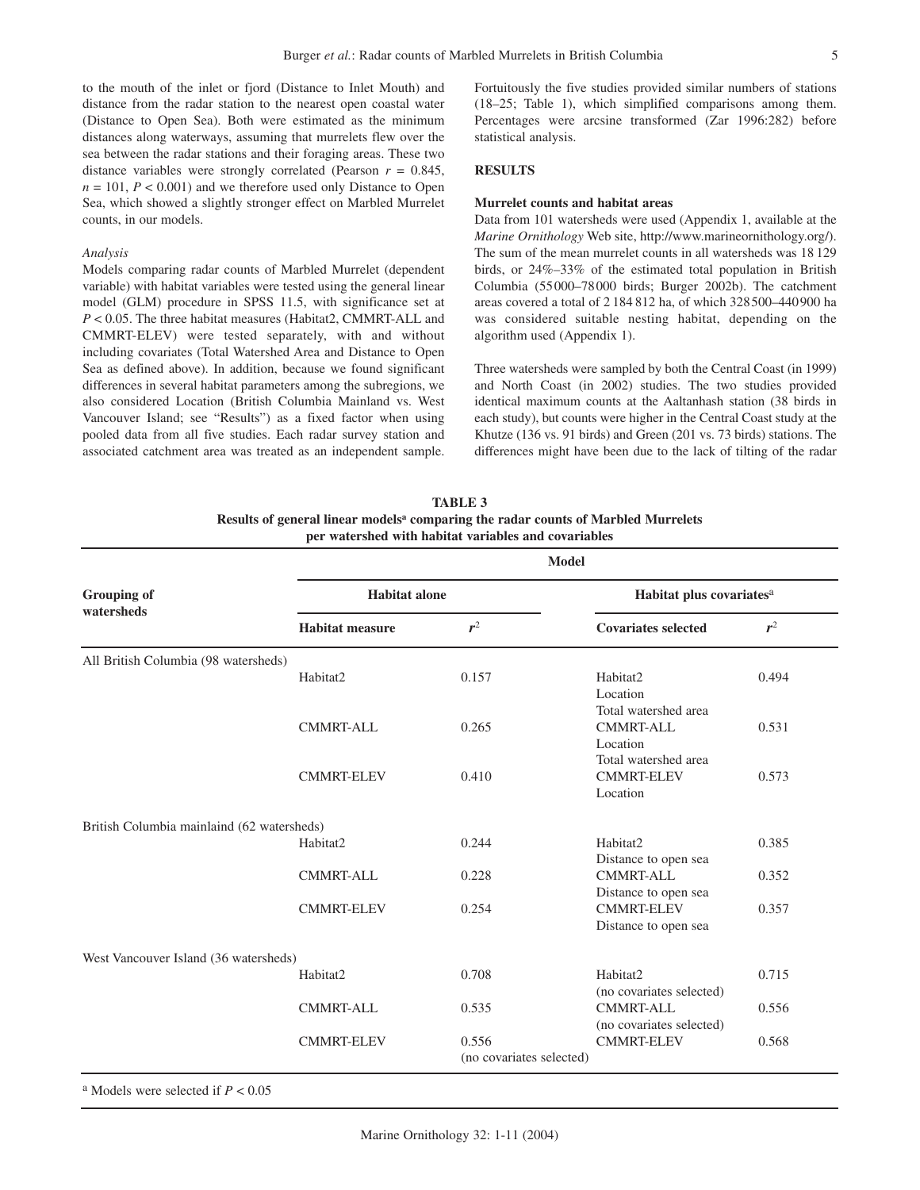to the mouth of the inlet or fjord (Distance to Inlet Mouth) and distance from the radar station to the nearest open coastal water (Distance to Open Sea). Both were estimated as the minimum distances along waterways, assuming that murrelets flew over the sea between the radar stations and their foraging areas. These two distance variables were strongly correlated (Pearson  $r = 0.845$ ,  $n = 101$ ,  $P < 0.001$ ) and we therefore used only Distance to Open Sea, which showed a slightly stronger effect on Marbled Murrelet counts, in our models.

#### *Analysis*

Models comparing radar counts of Marbled Murrelet (dependent variable) with habitat variables were tested using the general linear model (GLM) procedure in SPSS 11.5, with significance set at *P* < 0.05. The three habitat measures (Habitat2, CMMRT-ALL and CMMRT-ELEV) were tested separately, with and without including covariates (Total Watershed Area and Distance to Open Sea as defined above). In addition, because we found significant differences in several habitat parameters among the subregions, we also considered Location (British Columbia Mainland vs. West Vancouver Island; see "Results") as a fixed factor when using pooled data from all five studies. Each radar survey station and associated catchment area was treated as an independent sample. Fortuitously the five studies provided similar numbers of stations (18–25; Table 1), which simplified comparisons among them. Percentages were arcsine transformed (Zar 1996:282) before statistical analysis.

# **RESULTS**

## **Murrelet counts and habitat areas**

Data from 101 watersheds were used (Appendix 1, available at the *Marine Ornithology* Web site, http://www.marineornithology.org/). The sum of the mean murrelet counts in all watersheds was 18 129 birds, or 24%–33% of the estimated total population in British Columbia (55000–78000 birds; Burger 2002b). The catchment areas covered a total of 2 184 812 ha, of which 328500–440900 ha was considered suitable nesting habitat, depending on the algorithm used (Appendix 1).

Three watersheds were sampled by both the Central Coast (in 1999) and North Coast (in 2002) studies. The two studies provided identical maximum counts at the Aaltanhash station (38 birds in each study), but counts were higher in the Central Coast study at the Khutze (136 vs. 91 birds) and Green (201 vs. 73 birds) stations. The differences might have been due to the lack of tilting of the radar

**TABLE 3 Results of general linear modelsa comparing the radar counts of Marbled Murrelets per watershed with habitat variables and covariables**

|                                            | <b>Model</b>           |                          |                                               |       |  |  |
|--------------------------------------------|------------------------|--------------------------|-----------------------------------------------|-------|--|--|
| <b>Grouping of</b><br>watersheds           | <b>Habitat</b> alone   |                          | Habitat plus covariates <sup>a</sup>          |       |  |  |
|                                            | <b>Habitat measure</b> | $r^2$                    | <b>Covariates selected</b>                    | $r^2$ |  |  |
| All British Columbia (98 watersheds)       |                        |                          |                                               |       |  |  |
|                                            | Habitat2               | 0.157                    | Habitat2                                      | 0.494 |  |  |
|                                            |                        |                          | Location                                      |       |  |  |
|                                            | CMMRT-ALL              | 0.265                    | Total watershed area<br><b>CMMRT-ALL</b>      | 0.531 |  |  |
|                                            |                        |                          | Location                                      |       |  |  |
|                                            |                        |                          | Total watershed area                          |       |  |  |
|                                            | <b>CMMRT-ELEV</b>      | 0.410                    | <b>CMMRT-ELEV</b>                             | 0.573 |  |  |
|                                            |                        |                          | Location                                      |       |  |  |
| British Columbia mainlaind (62 watersheds) |                        |                          |                                               |       |  |  |
|                                            | Habitat2               | 0.244                    | Habitat2                                      | 0.385 |  |  |
|                                            |                        |                          | Distance to open sea                          |       |  |  |
|                                            | <b>CMMRT-ALL</b>       | 0.228                    | <b>CMMRT-ALL</b><br>Distance to open sea      | 0.352 |  |  |
|                                            | <b>CMMRT-ELEV</b>      | 0.254                    | <b>CMMRT-ELEV</b>                             | 0.357 |  |  |
|                                            |                        |                          | Distance to open sea                          |       |  |  |
| West Vancouver Island (36 watersheds)      |                        |                          |                                               |       |  |  |
|                                            | Habitat2               | 0.708                    | Habitat2                                      | 0.715 |  |  |
|                                            |                        |                          | (no covariates selected)                      |       |  |  |
|                                            | <b>CMMRT-ALL</b>       | 0.535                    | CMMRT-ALL                                     | 0.556 |  |  |
|                                            | <b>CMMRT-ELEV</b>      | 0.556                    | (no covariates selected)<br><b>CMMRT-ELEV</b> | 0.568 |  |  |
|                                            |                        | (no covariates selected) |                                               |       |  |  |
|                                            |                        |                          |                                               |       |  |  |

a Models were selected if *P* < 0.05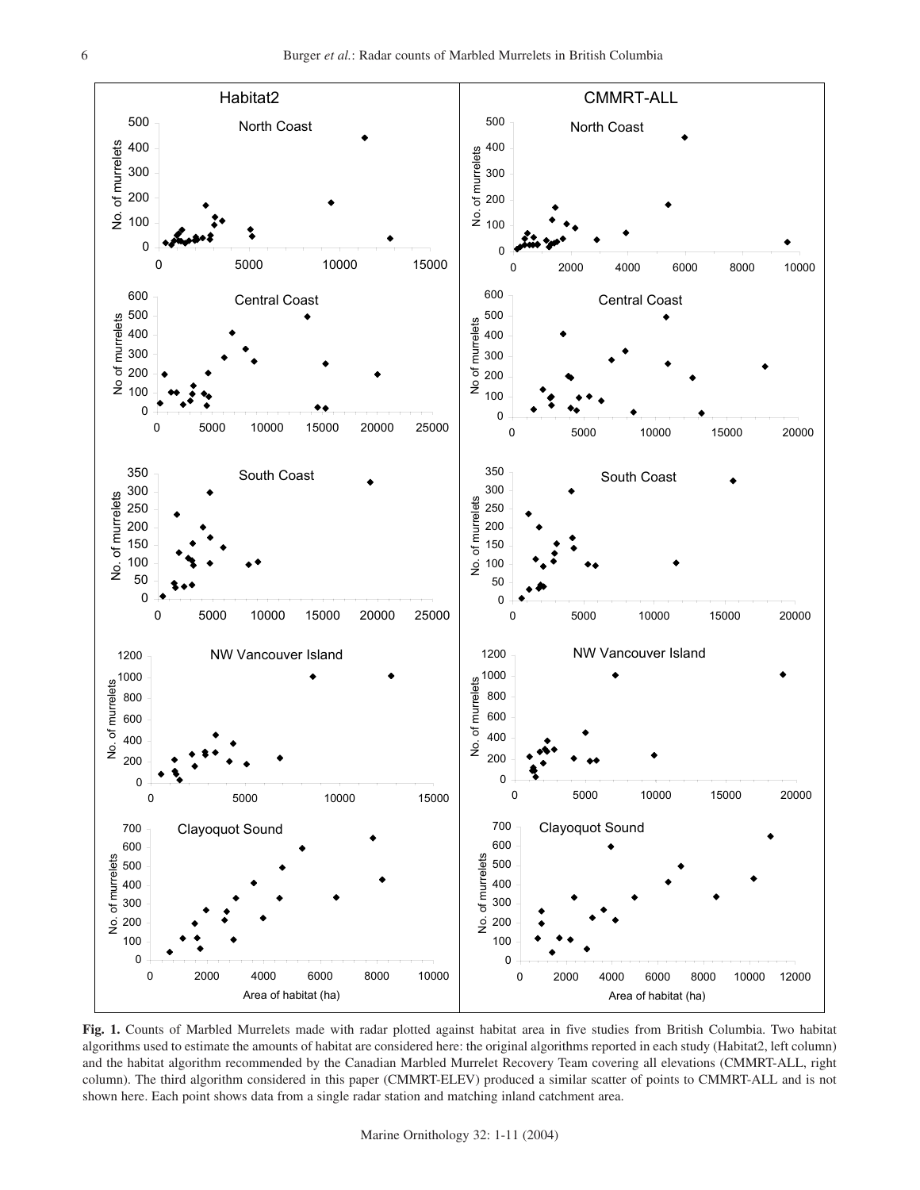

**Fig. 1.** Counts of Marbled Murrelets made with radar plotted against habitat area in five studies from British Columbia. Two habitat algorithms used to estimate the amounts of habitat are considered here: the original algorithms reported in each study (Habitat2, left column) and the habitat algorithm recommended by the Canadian Marbled Murrelet Recovery Team covering all elevations (CMMRT-ALL, right column). The third algorithm considered in this paper (CMMRT-ELEV) produced a similar scatter of points to CMMRT-ALL and is not shown here. Each point shows data from a single radar station and matching inland catchment area.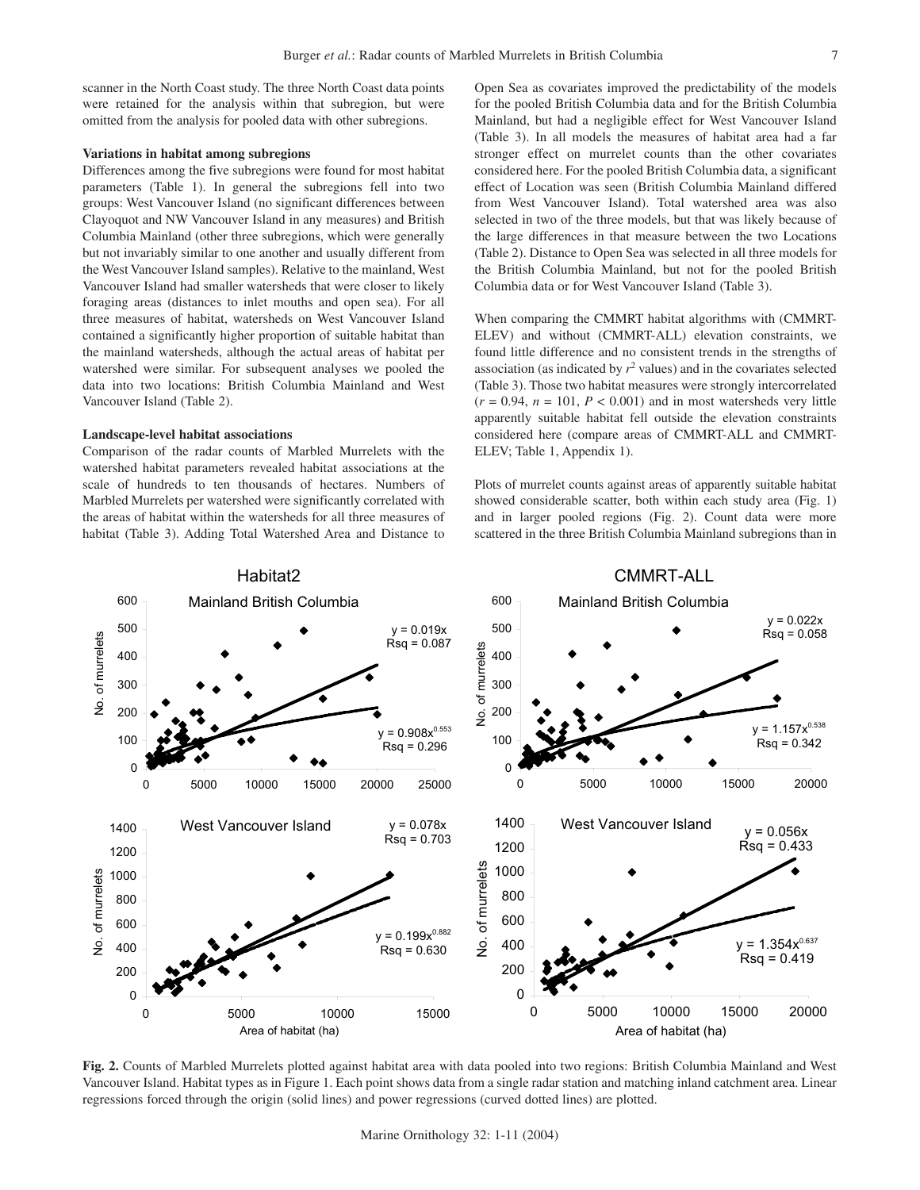scanner in the North Coast study. The three North Coast data points were retained for the analysis within that subregion, but were omitted from the analysis for pooled data with other subregions.

#### **Variations in habitat among subregions**

Differences among the five subregions were found for most habitat parameters (Table 1). In general the subregions fell into two groups: West Vancouver Island (no significant differences between Clayoquot and NW Vancouver Island in any measures) and British Columbia Mainland (other three subregions, which were generally but not invariably similar to one another and usually different from the West Vancouver Island samples). Relative to the mainland, West Vancouver Island had smaller watersheds that were closer to likely foraging areas (distances to inlet mouths and open sea). For all three measures of habitat, watersheds on West Vancouver Island contained a significantly higher proportion of suitable habitat than the mainland watersheds, although the actual areas of habitat per watershed were similar. For subsequent analyses we pooled the data into two locations: British Columbia Mainland and West Vancouver Island (Table 2).

## **Landscape-level habitat associations**

Comparison of the radar counts of Marbled Murrelets with the watershed habitat parameters revealed habitat associations at the scale of hundreds to ten thousands of hectares. Numbers of Marbled Murrelets per watershed were significantly correlated with the areas of habitat within the watersheds for all three measures of habitat (Table 3). Adding Total Watershed Area and Distance to Open Sea as covariates improved the predictability of the models for the pooled British Columbia data and for the British Columbia Mainland, but had a negligible effect for West Vancouver Island (Table 3). In all models the measures of habitat area had a far stronger effect on murrelet counts than the other covariates considered here. For the pooled British Columbia data, a significant effect of Location was seen (British Columbia Mainland differed from West Vancouver Island). Total watershed area was also selected in two of the three models, but that was likely because of the large differences in that measure between the two Locations (Table 2). Distance to Open Sea was selected in all three models for the British Columbia Mainland, but not for the pooled British Columbia data or for West Vancouver Island (Table 3).

When comparing the CMMRT habitat algorithms with (CMMRT-ELEV) and without (CMMRT-ALL) elevation constraints, we found little difference and no consistent trends in the strengths of association (as indicated by  $r^2$  values) and in the covariates selected (Table 3). Those two habitat measures were strongly intercorrelated  $(r = 0.94, n = 101, P < 0.001)$  and in most watersheds very little apparently suitable habitat fell outside the elevation constraints considered here (compare areas of CMMRT-ALL and CMMRT-ELEV; Table 1, Appendix 1).

Plots of murrelet counts against areas of apparently suitable habitat showed considerable scatter, both within each study area (Fig. 1) and in larger pooled regions (Fig. 2). Count data were more scattered in the three British Columbia Mainland subregions than in



**Fig. 2.** Counts of Marbled Murrelets plotted against habitat area with data pooled into two regions: British Columbia Mainland and West Vancouver Island. Habitat types as in Figure 1. Each point shows data from a single radar station and matching inland catchment area. Linear regressions forced through the origin (solid lines) and power regressions (curved dotted lines) are plotted.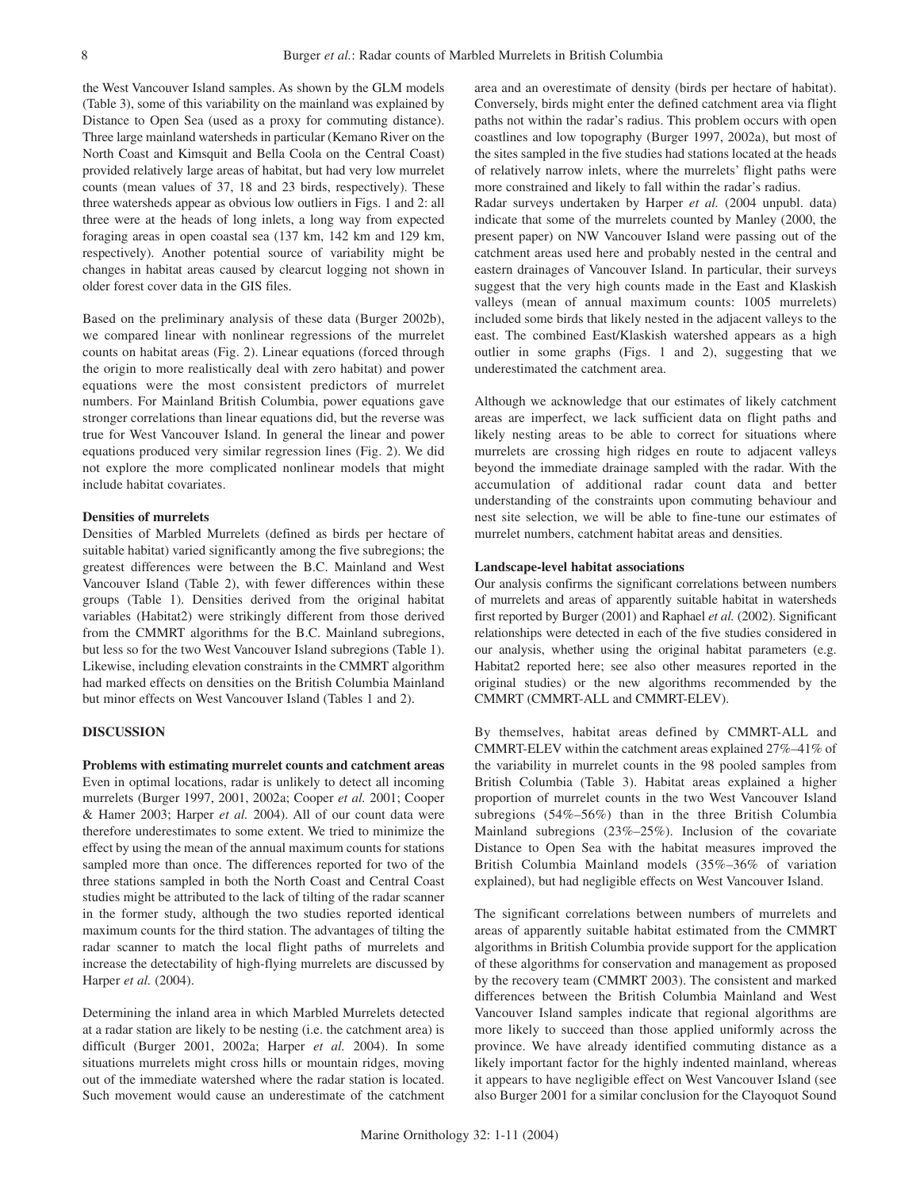the West Vancouver Island samples. As shown by the GLM models (Table 3), some of this variability on the mainland was explained by Distance to Open Sea (used as a proxy for commuting distance). Three large mainland watersheds in particular (Kemano River on the North Coast and Kimsquit and Bella Coola on the Central Coast) provided relatively large areas of habitat, but had very low murrelet counts (mean values of 37, 18 and 23 birds, respectively). These three watersheds appear as obvious low outliers in Figs. 1 and 2: all three were at the heads of long inlets, a long way from expected foraging areas in open coastal sea (137 km, 142 km and 129 km, respectively). Another potential source of variability might be changes in habitat areas caused by clearcut logging not shown in older forest cover data in the GIS files.

Based on the preliminary analysis of these data (Burger 2002b), we compared linear with nonlinear regressions of the murrelet counts on habitat areas (Fig. 2). Linear equations (forced through the origin to more realistically deal with zero habitat) and power equations were the most consistent predictors of murrelet numbers. For Mainland British Columbia, power equations gave stronger correlations than linear equations did, but the reverse was true for West Vancouver Island. In general the linear and power equations produced very similar regression lines (Fig. 2). We did not explore the more complicated nonlinear models that might include habitat covariates.

## **Densities of murrelets**

Densities of Marbled Murrelets (defined as birds per hectare of suitable habitat) varied significantly among the five subregions; the greatest differences were between the B.C. Mainland and West Vancouver Island (Table 2), with fewer differences within these groups (Table 1). Densities derived from the original habitat variables (Habitat2) were strikingly different from those derived from the CMMRT algorithms for the B.C. Mainland subregions, but less so for the two West Vancouver Island subregions (Table 1). Likewise, including elevation constraints in the CMMRT algorithm had marked effects on densities on the British Columbia Mainland but minor effects on West Vancouver Island (Tables 1 and 2).

#### **DISCUSSION**

**Problems with estimating murrelet counts and catchment areas** Even in optimal locations, radar is unlikely to detect all incoming murrelets (Burger 1997, 2001, 2002a; Cooper *et al.* 2001; Cooper & Hamer 2003; Harper *et al.* 2004). All of our count data were therefore underestimates to some extent. We tried to minimize the effect by using the mean of the annual maximum counts for stations sampled more than once. The differences reported for two of the three stations sampled in both the North Coast and Central Coast studies might be attributed to the lack of tilting of the radar scanner in the former study, although the two studies reported identical maximum counts for the third station. The advantages of tilting the radar scanner to match the local flight paths of murrelets and increase the detectability of high-flying murrelets are discussed by Harper *et al.* (2004).

Determining the inland area in which Marbled Murrelets detected at a radar station are likely to be nesting (i.e. the catchment area) is difficult (Burger 2001, 2002a; Harper *et al.* 2004). In some situations murrelets might cross hills or mountain ridges, moving out of the immediate watershed where the radar station is located. Such movement would cause an underestimate of the catchment area and an overestimate of density (birds per hectare of habitat). Conversely, birds might enter the defined catchment area via flight paths not within the radar's radius. This problem occurs with open coastlines and low topography (Burger 1997, 2002a), but most of the sites sampled in the five studies had stations located at the heads of relatively narrow inlets, where the murrelets' flight paths were more constrained and likely to fall within the radar's radius. Radar surveys undertaken by Harper *et al.* (2004 unpubl. data)

indicate that some of the murrelets counted by Manley (2000, the present paper) on NW Vancouver Island were passing out of the catchment areas used here and probably nested in the central and eastern drainages of Vancouver Island. In particular, their surveys suggest that the very high counts made in the East and Klaskish valleys (mean of annual maximum counts: 1005 murrelets) included some birds that likely nested in the adjacent valleys to the east. The combined East/Klaskish watershed appears as a high outlier in some graphs (Figs. 1 and 2), suggesting that we underestimated the catchment area.

Although we acknowledge that our estimates of likely catchment areas are imperfect, we lack sufficient data on flight paths and likely nesting areas to be able to correct for situations where murrelets are crossing high ridges en route to adjacent valleys beyond the immediate drainage sampled with the radar. With the accumulation of additional radar count data and better understanding of the constraints upon commuting behaviour and nest site selection, we will be able to fine-tune our estimates of murrelet numbers, catchment habitat areas and densities.

#### **Landscape-level habitat associations**

Our analysis confirms the significant correlations between numbers of murrelets and areas of apparently suitable habitat in watersheds first reported by Burger (2001) and Raphael *et al.* (2002). Significant relationships were detected in each of the five studies considered in our analysis, whether using the original habitat parameters (e.g. Habitat2 reported here; see also other measures reported in the original studies) or the new algorithms recommended by the CMMRT (CMMRT-ALL and CMMRT-ELEV).

By themselves, habitat areas defined by CMMRT-ALL and CMMRT-ELEV within the catchment areas explained 27%–41% of the variability in murrelet counts in the 98 pooled samples from British Columbia (Table 3). Habitat areas explained a higher proportion of murrelet counts in the two West Vancouver Island subregions (54%–56%) than in the three British Columbia Mainland subregions (23%–25%). Inclusion of the covariate Distance to Open Sea with the habitat measures improved the British Columbia Mainland models (35%–36% of variation explained), but had negligible effects on West Vancouver Island.

The significant correlations between numbers of murrelets and areas of apparently suitable habitat estimated from the CMMRT algorithms in British Columbia provide support for the application of these algorithms for conservation and management as proposed by the recovery team (CMMRT 2003). The consistent and marked differences between the British Columbia Mainland and West Vancouver Island samples indicate that regional algorithms are more likely to succeed than those applied uniformly across the province. We have already identified commuting distance as a likely important factor for the highly indented mainland, whereas it appears to have negligible effect on West Vancouver Island (see also Burger 2001 for a similar conclusion for the Clayoquot Sound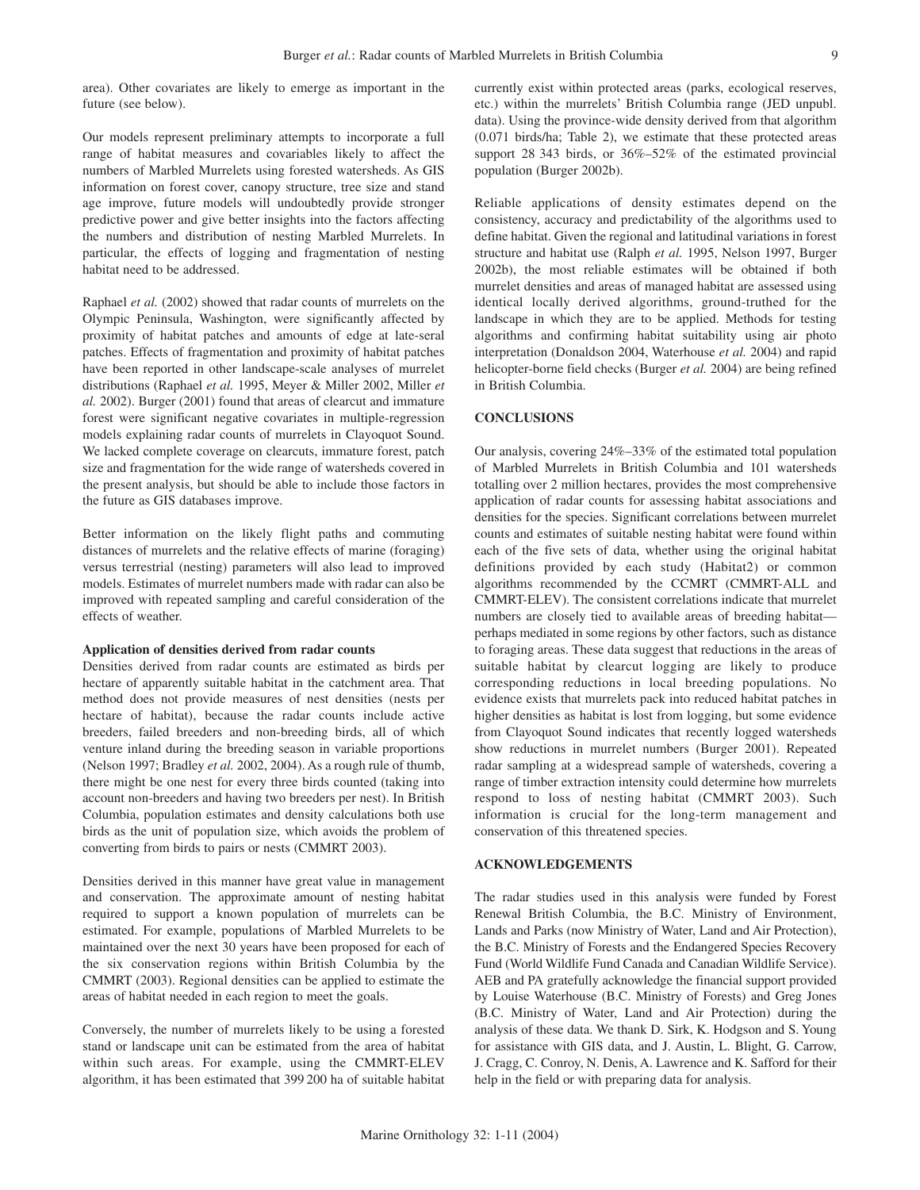area). Other covariates are likely to emerge as important in the future (see below).

Our models represent preliminary attempts to incorporate a full range of habitat measures and covariables likely to affect the numbers of Marbled Murrelets using forested watersheds. As GIS information on forest cover, canopy structure, tree size and stand age improve, future models will undoubtedly provide stronger predictive power and give better insights into the factors affecting the numbers and distribution of nesting Marbled Murrelets. In particular, the effects of logging and fragmentation of nesting habitat need to be addressed.

Raphael *et al.* (2002) showed that radar counts of murrelets on the Olympic Peninsula, Washington, were significantly affected by proximity of habitat patches and amounts of edge at late-seral patches. Effects of fragmentation and proximity of habitat patches have been reported in other landscape-scale analyses of murrelet distributions (Raphael *et al.* 1995, Meyer & Miller 2002, Miller *et al.* 2002). Burger (2001) found that areas of clearcut and immature forest were significant negative covariates in multiple-regression models explaining radar counts of murrelets in Clayoquot Sound. We lacked complete coverage on clearcuts, immature forest, patch size and fragmentation for the wide range of watersheds covered in the present analysis, but should be able to include those factors in the future as GIS databases improve.

Better information on the likely flight paths and commuting distances of murrelets and the relative effects of marine (foraging) versus terrestrial (nesting) parameters will also lead to improved models. Estimates of murrelet numbers made with radar can also be improved with repeated sampling and careful consideration of the effects of weather.

#### **Application of densities derived from radar counts**

Densities derived from radar counts are estimated as birds per hectare of apparently suitable habitat in the catchment area. That method does not provide measures of nest densities (nests per hectare of habitat), because the radar counts include active breeders, failed breeders and non-breeding birds, all of which venture inland during the breeding season in variable proportions (Nelson 1997; Bradley *et al.* 2002, 2004). As a rough rule of thumb, there might be one nest for every three birds counted (taking into account non-breeders and having two breeders per nest). In British Columbia, population estimates and density calculations both use birds as the unit of population size, which avoids the problem of converting from birds to pairs or nests (CMMRT 2003).

Densities derived in this manner have great value in management and conservation. The approximate amount of nesting habitat required to support a known population of murrelets can be estimated. For example, populations of Marbled Murrelets to be maintained over the next 30 years have been proposed for each of the six conservation regions within British Columbia by the CMMRT (2003). Regional densities can be applied to estimate the areas of habitat needed in each region to meet the goals.

Conversely, the number of murrelets likely to be using a forested stand or landscape unit can be estimated from the area of habitat within such areas. For example, using the CMMRT-ELEV algorithm, it has been estimated that 399 200 ha of suitable habitat currently exist within protected areas (parks, ecological reserves, etc.) within the murrelets' British Columbia range (JED unpubl. data). Using the province-wide density derived from that algorithm (0.071 birds/ha; Table 2), we estimate that these protected areas support 28 343 birds, or 36%–52% of the estimated provincial population (Burger 2002b).

Reliable applications of density estimates depend on the consistency, accuracy and predictability of the algorithms used to define habitat. Given the regional and latitudinal variations in forest structure and habitat use (Ralph *et al.* 1995, Nelson 1997, Burger 2002b), the most reliable estimates will be obtained if both murrelet densities and areas of managed habitat are assessed using identical locally derived algorithms, ground-truthed for the landscape in which they are to be applied. Methods for testing algorithms and confirming habitat suitability using air photo interpretation (Donaldson 2004, Waterhouse *et al.* 2004) and rapid helicopter-borne field checks (Burger *et al.* 2004) are being refined in British Columbia.

## **CONCLUSIONS**

Our analysis, covering 24%–33% of the estimated total population of Marbled Murrelets in British Columbia and 101 watersheds totalling over 2 million hectares, provides the most comprehensive application of radar counts for assessing habitat associations and densities for the species. Significant correlations between murrelet counts and estimates of suitable nesting habitat were found within each of the five sets of data, whether using the original habitat definitions provided by each study (Habitat2) or common algorithms recommended by the CCMRT (CMMRT-ALL and CMMRT-ELEV). The consistent correlations indicate that murrelet numbers are closely tied to available areas of breeding habitat perhaps mediated in some regions by other factors, such as distance to foraging areas. These data suggest that reductions in the areas of suitable habitat by clearcut logging are likely to produce corresponding reductions in local breeding populations. No evidence exists that murrelets pack into reduced habitat patches in higher densities as habitat is lost from logging, but some evidence from Clayoquot Sound indicates that recently logged watersheds show reductions in murrelet numbers (Burger 2001). Repeated radar sampling at a widespread sample of watersheds, covering a range of timber extraction intensity could determine how murrelets respond to loss of nesting habitat (CMMRT 2003). Such information is crucial for the long-term management and conservation of this threatened species.

## **ACKNOWLEDGEMENTS**

The radar studies used in this analysis were funded by Forest Renewal British Columbia, the B.C. Ministry of Environment, Lands and Parks (now Ministry of Water, Land and Air Protection), the B.C. Ministry of Forests and the Endangered Species Recovery Fund (World Wildlife Fund Canada and Canadian Wildlife Service). AEB and PA gratefully acknowledge the financial support provided by Louise Waterhouse (B.C. Ministry of Forests) and Greg Jones (B.C. Ministry of Water, Land and Air Protection) during the analysis of these data. We thank D. Sirk, K. Hodgson and S. Young for assistance with GIS data, and J. Austin, L. Blight, G. Carrow, J. Cragg, C. Conroy, N. Denis, A. Lawrence and K. Safford for their help in the field or with preparing data for analysis.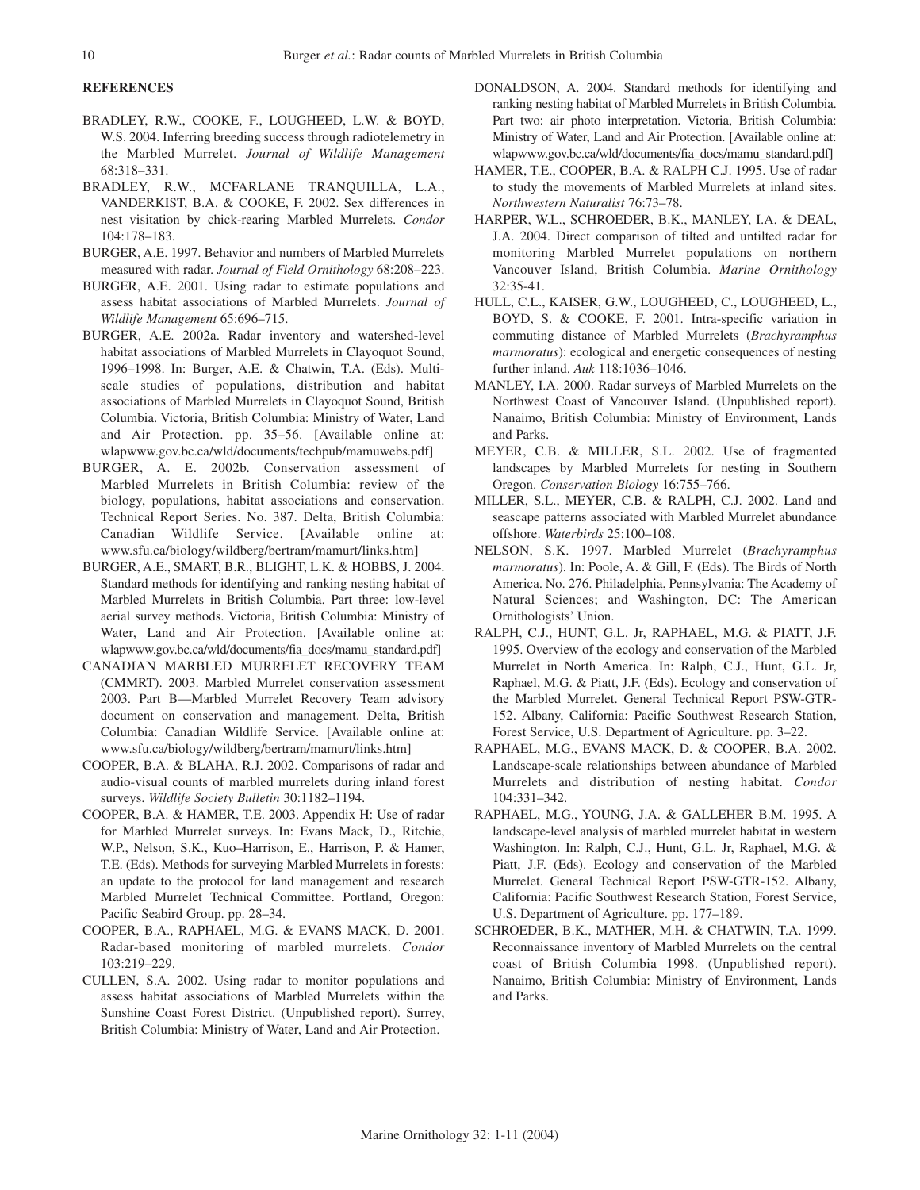# **REFERENCES**

- BRADLEY, R.W., COOKE, F., LOUGHEED, L.W. & BOYD, W.S. 2004. Inferring breeding success through radiotelemetry in the Marbled Murrelet. *Journal of Wildlife Management* 68:318–331.
- BRADLEY, R.W., MCFARLANE TRANQUILLA, L.A., VANDERKIST, B.A. & COOKE, F. 2002. Sex differences in nest visitation by chick-rearing Marbled Murrelets. *Condor* 104:178–183.
- BURGER, A.E. 1997. Behavior and numbers of Marbled Murrelets measured with radar. *Journal of Field Ornithology* 68:208–223.
- BURGER, A.E. 2001. Using radar to estimate populations and assess habitat associations of Marbled Murrelets. *Journal of Wildlife Management* 65:696–715.
- BURGER, A.E. 2002a. Radar inventory and watershed-level habitat associations of Marbled Murrelets in Clayoquot Sound, 1996–1998. In: Burger, A.E. & Chatwin, T.A. (Eds). Multiscale studies of populations, distribution and habitat associations of Marbled Murrelets in Clayoquot Sound, British Columbia. Victoria, British Columbia: Ministry of Water, Land and Air Protection. pp. 35–56. [Available online at: wlapwww.gov.bc.ca/wld/documents/techpub/mamuwebs.pdf]
- BURGER, A. E. 2002b. Conservation assessment of Marbled Murrelets in British Columbia: review of the biology, populations, habitat associations and conservation. Technical Report Series. No. 387. Delta, British Columbia: Canadian Wildlife Service. [Available online at: www.sfu.ca/biology/wildberg/bertram/mamurt/links.htm]
- BURGER, A.E., SMART, B.R., BLIGHT, L.K. & HOBBS, J. 2004. Standard methods for identifying and ranking nesting habitat of Marbled Murrelets in British Columbia. Part three: low-level aerial survey methods. Victoria, British Columbia: Ministry of Water, Land and Air Protection. [Available online at: wlapwww.gov.bc.ca/wld/documents/fia\_docs/mamu\_standard.pdf]
- CANADIAN MARBLED MURRELET RECOVERY TEAM (CMMRT). 2003. Marbled Murrelet conservation assessment 2003. Part B—Marbled Murrelet Recovery Team advisory document on conservation and management. Delta, British Columbia: Canadian Wildlife Service. [Available online at: www.sfu.ca/biology/wildberg/bertram/mamurt/links.htm]
- COOPER, B.A. & BLAHA, R.J. 2002. Comparisons of radar and audio-visual counts of marbled murrelets during inland forest surveys. *Wildlife Society Bulletin* 30:1182–1194.
- COOPER, B.A. & HAMER, T.E. 2003. Appendix H: Use of radar for Marbled Murrelet surveys. In: Evans Mack, D., Ritchie, W.P., Nelson, S.K., Kuo–Harrison, E., Harrison, P. & Hamer, T.E. (Eds). Methods for surveying Marbled Murrelets in forests: an update to the protocol for land management and research Marbled Murrelet Technical Committee. Portland, Oregon: Pacific Seabird Group. pp. 28–34.
- COOPER, B.A., RAPHAEL, M.G. & EVANS MACK, D. 2001. Radar-based monitoring of marbled murrelets. *Condor* 103:219–229.
- CULLEN, S.A. 2002. Using radar to monitor populations and assess habitat associations of Marbled Murrelets within the Sunshine Coast Forest District. (Unpublished report). Surrey, British Columbia: Ministry of Water, Land and Air Protection.
- DONALDSON, A. 2004. Standard methods for identifying and ranking nesting habitat of Marbled Murrelets in British Columbia. Part two: air photo interpretation. Victoria, British Columbia: Ministry of Water, Land and Air Protection. [Available online at: wlapwww.gov.bc.ca/wld/documents/fia\_docs/mamu\_standard.pdf]
- HAMER, T.E., COOPER, B.A. & RALPH C.J. 1995. Use of radar to study the movements of Marbled Murrelets at inland sites. *Northwestern Naturalist* 76:73–78.
- HARPER, W.L., SCHROEDER, B.K., MANLEY, I.A. & DEAL, J.A. 2004. Direct comparison of tilted and untilted radar for monitoring Marbled Murrelet populations on northern Vancouver Island, British Columbia. *Marine Ornithology* 32:35-41.
- HULL, C.L., KAISER, G.W., LOUGHEED, C., LOUGHEED, L., BOYD, S. & COOKE, F. 2001. Intra-specific variation in commuting distance of Marbled Murrelets (*Brachyramphus marmoratus*): ecological and energetic consequences of nesting further inland. *Auk* 118:1036–1046.
- MANLEY, I.A. 2000. Radar surveys of Marbled Murrelets on the Northwest Coast of Vancouver Island. (Unpublished report). Nanaimo, British Columbia: Ministry of Environment, Lands and Parks.
- MEYER, C.B. & MILLER, S.L. 2002. Use of fragmented landscapes by Marbled Murrelets for nesting in Southern Oregon. *Conservation Biology* 16:755–766.
- MILLER, S.L., MEYER, C.B. & RALPH, C.J. 2002. Land and seascape patterns associated with Marbled Murrelet abundance offshore. *Waterbirds* 25:100–108.
- NELSON, S.K. 1997. Marbled Murrelet (*Brachyramphus marmoratus*). In: Poole, A. & Gill, F. (Eds). The Birds of North America. No. 276. Philadelphia, Pennsylvania: The Academy of Natural Sciences; and Washington, DC: The American Ornithologists' Union.
- RALPH, C.J., HUNT, G.L. Jr, RAPHAEL, M.G. & PIATT, J.F. 1995. Overview of the ecology and conservation of the Marbled Murrelet in North America. In: Ralph, C.J., Hunt, G.L. Jr, Raphael, M.G. & Piatt, J.F. (Eds). Ecology and conservation of the Marbled Murrelet. General Technical Report PSW-GTR-152. Albany, California: Pacific Southwest Research Station, Forest Service, U.S. Department of Agriculture. pp. 3–22.
- RAPHAEL, M.G., EVANS MACK, D. & COOPER, B.A. 2002. Landscape-scale relationships between abundance of Marbled Murrelets and distribution of nesting habitat. *Condor* 104:331–342.
- RAPHAEL, M.G., YOUNG, J.A. & GALLEHER B.M. 1995. A landscape-level analysis of marbled murrelet habitat in western Washington. In: Ralph, C.J., Hunt, G.L. Jr, Raphael, M.G. & Piatt, J.F. (Eds). Ecology and conservation of the Marbled Murrelet. General Technical Report PSW-GTR-152. Albany, California: Pacific Southwest Research Station, Forest Service, U.S. Department of Agriculture. pp. 177–189.
- SCHROEDER, B.K., MATHER, M.H. & CHATWIN, T.A. 1999. Reconnaissance inventory of Marbled Murrelets on the central coast of British Columbia 1998. (Unpublished report). Nanaimo, British Columbia: Ministry of Environment, Lands and Parks.